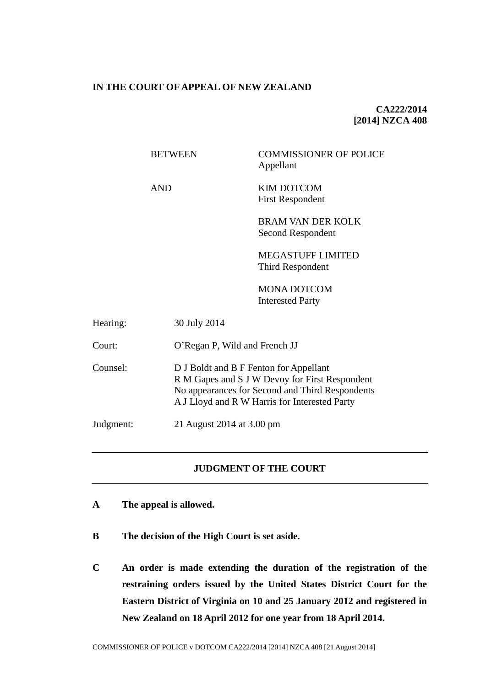### **IN THE COURT OF APPEAL OF NEW ZEALAND**

**CA222/2014 [2014] NZCA 408**

|           | <b>BETWEEN</b> | <b>COMMISSIONER OF POLICE</b><br>Appellant                                                                                                                                                   |  |
|-----------|----------------|----------------------------------------------------------------------------------------------------------------------------------------------------------------------------------------------|--|
|           | <b>AND</b>     | <b>KIM DOTCOM</b><br><b>First Respondent</b>                                                                                                                                                 |  |
|           |                | <b>BRAM VAN DER KOLK</b><br>Second Respondent                                                                                                                                                |  |
|           |                | <b>MEGASTUFF LIMITED</b><br>Third Respondent                                                                                                                                                 |  |
|           |                | <b>MONA DOTCOM</b><br><b>Interested Party</b>                                                                                                                                                |  |
| Hearing:  | 30 July 2014   |                                                                                                                                                                                              |  |
| Court:    |                | O'Regan P, Wild and French JJ                                                                                                                                                                |  |
| Counsel:  |                | D J Boldt and B F Fenton for Appellant<br>R M Gapes and S J W Devoy for First Respondent<br>No appearances for Second and Third Respondents<br>A J Lloyd and R W Harris for Interested Party |  |
| Judgment: |                | 21 August 2014 at 3.00 pm                                                                                                                                                                    |  |

### **JUDGMENT OF THE COURT**

- **A The appeal is allowed.**
- **B The decision of the High Court is set aside.**
- **C An order is made extending the duration of the registration of the restraining orders issued by the United States District Court for the Eastern District of Virginia on 10 and 25 January 2012 and registered in New Zealand on 18 April 2012 for one year from 18 April 2014.**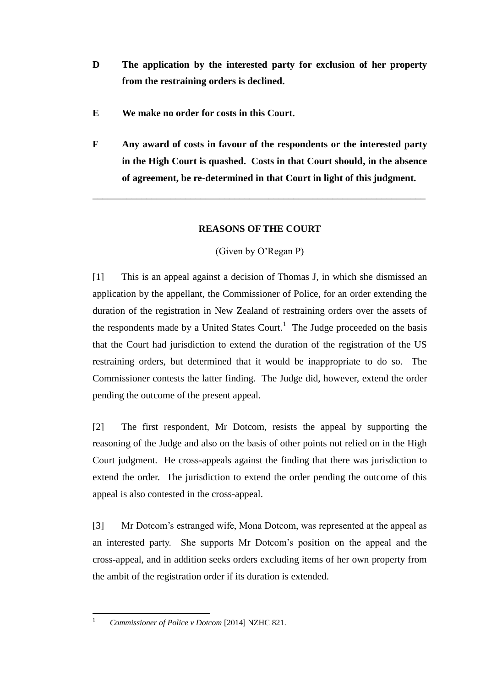- **D The application by the interested party for exclusion of her property from the restraining orders is declined.**
- **E We make no order for costs in this Court.**
- **F Any award of costs in favour of the respondents or the interested party in the High Court is quashed. Costs in that Court should, in the absence of agreement, be re-determined in that Court in light of this judgment.**

\_\_\_\_\_\_\_\_\_\_\_\_\_\_\_\_\_\_\_\_\_\_\_\_\_\_\_\_\_\_\_\_\_\_\_\_\_\_\_\_\_\_\_\_\_\_\_\_\_\_\_\_\_\_\_\_\_\_\_\_\_\_\_\_\_\_\_\_

# **REASONS OF THE COURT**

(Given by O'Regan P)

[1] This is an appeal against a decision of Thomas J, in which she dismissed an application by the appellant, the Commissioner of Police, for an order extending the duration of the registration in New Zealand of restraining orders over the assets of the respondents made by a United States Court.<sup>1</sup> The Judge proceeded on the basis that the Court had jurisdiction to extend the duration of the registration of the US restraining orders, but determined that it would be inappropriate to do so. The Commissioner contests the latter finding. The Judge did, however, extend the order pending the outcome of the present appeal.

[2] The first respondent, Mr Dotcom, resists the appeal by supporting the reasoning of the Judge and also on the basis of other points not relied on in the High Court judgment. He cross-appeals against the finding that there was jurisdiction to extend the order. The jurisdiction to extend the order pending the outcome of this appeal is also contested in the cross-appeal.

[3] Mr Dotcom's estranged wife, Mona Dotcom, was represented at the appeal as an interested party. She supports Mr Dotcom's position on the appeal and the cross-appeal, and in addition seeks orders excluding items of her own property from the ambit of the registration order if its duration is extended.

 $\overline{1}$ 

<sup>1</sup> *Commissioner of Police v Dotcom* [2014] NZHC 821.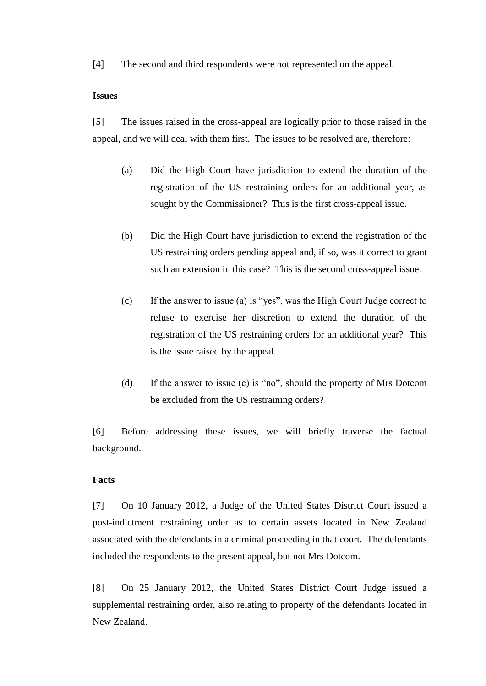[4] The second and third respondents were not represented on the appeal.

#### **Issues**

[5] The issues raised in the cross-appeal are logically prior to those raised in the appeal, and we will deal with them first. The issues to be resolved are, therefore:

- (a) Did the High Court have jurisdiction to extend the duration of the registration of the US restraining orders for an additional year, as sought by the Commissioner? This is the first cross-appeal issue.
- (b) Did the High Court have jurisdiction to extend the registration of the US restraining orders pending appeal and, if so, was it correct to grant such an extension in this case? This is the second cross-appeal issue.
- (c) If the answer to issue (a) is "yes", was the High Court Judge correct to refuse to exercise her discretion to extend the duration of the registration of the US restraining orders for an additional year? This is the issue raised by the appeal.
- (d) If the answer to issue (c) is "no", should the property of Mrs Dotcom be excluded from the US restraining orders?

[6] Before addressing these issues, we will briefly traverse the factual background.

### **Facts**

[7] On 10 January 2012, a Judge of the United States District Court issued a post-indictment restraining order as to certain assets located in New Zealand associated with the defendants in a criminal proceeding in that court. The defendants included the respondents to the present appeal, but not Mrs Dotcom.

[8] On 25 January 2012, the United States District Court Judge issued a supplemental restraining order, also relating to property of the defendants located in New Zealand.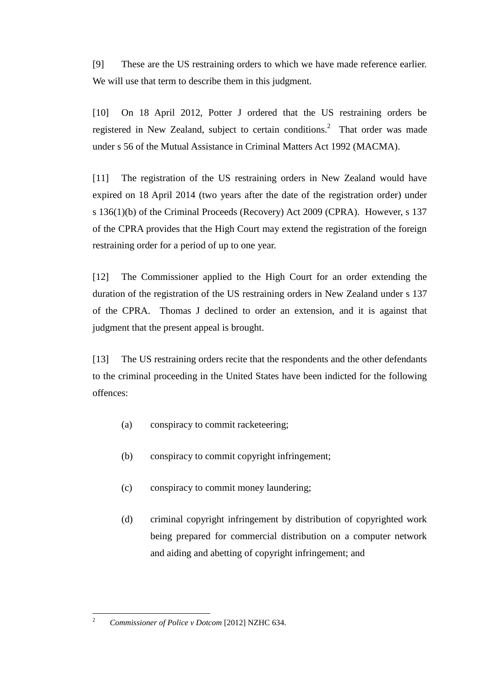[9] These are the US restraining orders to which we have made reference earlier. We will use that term to describe them in this judgment.

<span id="page-3-0"></span>[10] On 18 April 2012, Potter J ordered that the US restraining orders be registered in New Zealand, subject to certain conditions.<sup>2</sup> That order was made under s 56 of the Mutual Assistance in Criminal Matters Act 1992 (MACMA).

[11] The registration of the US restraining orders in New Zealand would have expired on 18 April 2014 (two years after the date of the registration order) under s 136(1)(b) of the Criminal Proceeds (Recovery) Act 2009 (CPRA). However, s 137 of the CPRA provides that the High Court may extend the registration of the foreign restraining order for a period of up to one year.

[12] The Commissioner applied to the High Court for an order extending the duration of the registration of the US restraining orders in New Zealand under s 137 of the CPRA. Thomas J declined to order an extension, and it is against that judgment that the present appeal is brought.

[13] The US restraining orders recite that the respondents and the other defendants to the criminal proceeding in the United States have been indicted for the following offences:

- (a) conspiracy to commit racketeering;
- (b) conspiracy to commit copyright infringement;
- (c) conspiracy to commit money laundering;
- (d) criminal copyright infringement by distribution of copyrighted work being prepared for commercial distribution on a computer network and aiding and abetting of copyright infringement; and

 $\overline{c}$ <sup>2</sup> *Commissioner of Police v Dotcom* [2012] NZHC 634.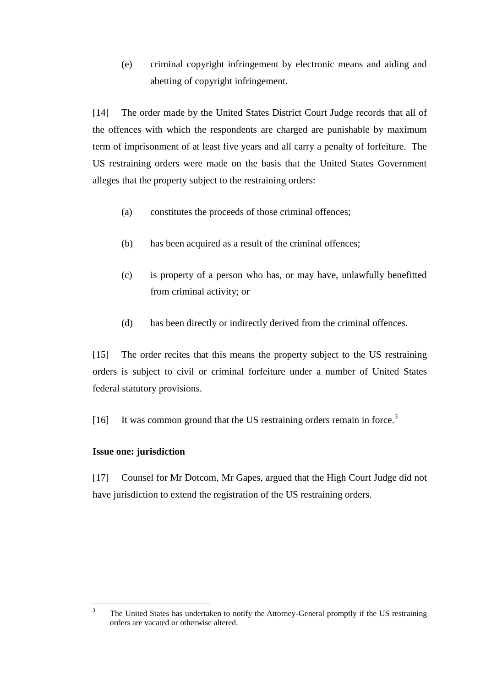(e) criminal copyright infringement by electronic means and aiding and abetting of copyright infringement.

[14] The order made by the United States District Court Judge records that all of the offences with which the respondents are charged are punishable by maximum term of imprisonment of at least five years and all carry a penalty of forfeiture. The US restraining orders were made on the basis that the United States Government alleges that the property subject to the restraining orders:

- (a) constitutes the proceeds of those criminal offences;
- (b) has been acquired as a result of the criminal offences;
- (c) is property of a person who has, or may have, unlawfully benefitted from criminal activity; or
- (d) has been directly or indirectly derived from the criminal offences.

[15] The order recites that this means the property subject to the US restraining orders is subject to civil or criminal forfeiture under a number of United States federal statutory provisions.

[16] It was common ground that the US restraining orders remain in force.<sup>3</sup>

### **Issue one: jurisdiction**

[17] Counsel for Mr Dotcom, Mr Gapes, argued that the High Court Judge did not have jurisdiction to extend the registration of the US restraining orders.

 $\overline{\mathbf{3}}$ <sup>3</sup> The United States has undertaken to notify the Attorney-General promptly if the US restraining orders are vacated or otherwise altered.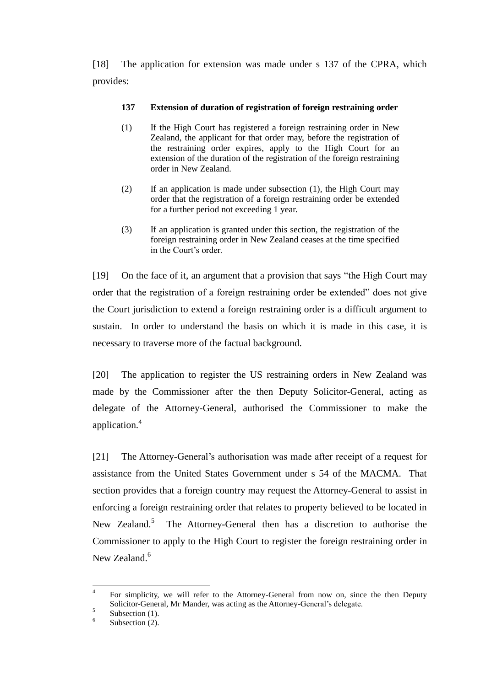[18] The application for extension was made under s 137 of the CPRA, which provides:

## **137 Extension of duration of registration of foreign restraining order**

- (1) If the High Court has registered a foreign restraining order in New Zealand, the applicant for that order may, before the registration of the restraining order expires, apply to the High Court for an extension of the duration of the registration of the foreign restraining order in New Zealand.
- (2) If an application is made under subsection (1), the High Court may order that the registration of a foreign restraining order be extended for a further period not exceeding 1 year.
- (3) If an application is granted under this section, the registration of the foreign restraining order in New Zealand ceases at the time specified in the Court's order.

[19] On the face of it, an argument that a provision that says "the High Court may order that the registration of a foreign restraining order be extended" does not give the Court jurisdiction to extend a foreign restraining order is a difficult argument to sustain. In order to understand the basis on which it is made in this case, it is necessary to traverse more of the factual background.

[20] The application to register the US restraining orders in New Zealand was made by the Commissioner after the then Deputy Solicitor-General, acting as delegate of the Attorney-General, authorised the Commissioner to make the application.<sup>4</sup>

[21] The Attorney-General's authorisation was made after receipt of a request for assistance from the United States Government under s 54 of the MACMA. That section provides that a foreign country may request the Attorney-General to assist in enforcing a foreign restraining order that relates to property believed to be located in New Zealand. $5$  The Attorney-General then has a discretion to authorise the Commissioner to apply to the High Court to register the foreign restraining order in New Zealand.<sup>6</sup>

 $\frac{1}{4}$ For simplicity, we will refer to the Attorney-General from now on, since the then Deputy Solicitor-General, Mr Mander, was acting as the Attorney-General's delegate.

<sup>5</sup> Subsection  $(1)$ .

<sup>6</sup> Subsection  $(2)$ .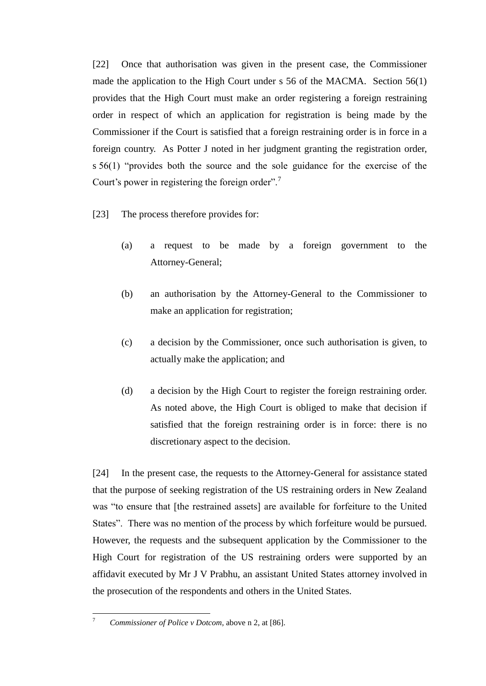[22] Once that authorisation was given in the present case, the Commissioner made the application to the High Court under s 56 of the MACMA. Section 56(1) provides that the High Court must make an order registering a foreign restraining order in respect of which an application for registration is being made by the Commissioner if the Court is satisfied that a foreign restraining order is in force in a foreign country. As Potter J noted in her judgment granting the registration order, s 56(1) "provides both the source and the sole guidance for the exercise of the Court's power in registering the foreign order".<sup>7</sup>

- [23] The process therefore provides for:
	- (a) a request to be made by a foreign government to the Attorney-General;
	- (b) an authorisation by the Attorney-General to the Commissioner to make an application for registration;
	- (c) a decision by the Commissioner, once such authorisation is given, to actually make the application; and
	- (d) a decision by the High Court to register the foreign restraining order. As noted above, the High Court is obliged to make that decision if satisfied that the foreign restraining order is in force: there is no discretionary aspect to the decision.

[24] In the present case, the requests to the Attorney-General for assistance stated that the purpose of seeking registration of the US restraining orders in New Zealand was "to ensure that [the restrained assets] are available for forfeiture to the United States". There was no mention of the process by which forfeiture would be pursued. However, the requests and the subsequent application by the Commissioner to the High Court for registration of the US restraining orders were supported by an affidavit executed by Mr J V Prabhu, an assistant United States attorney involved in the prosecution of the respondents and others in the United States.

 $\overline{\tau}$ <sup>7</sup> *Commissioner of Police v Dotcom*, above [n 2,](#page-3-0) at [86].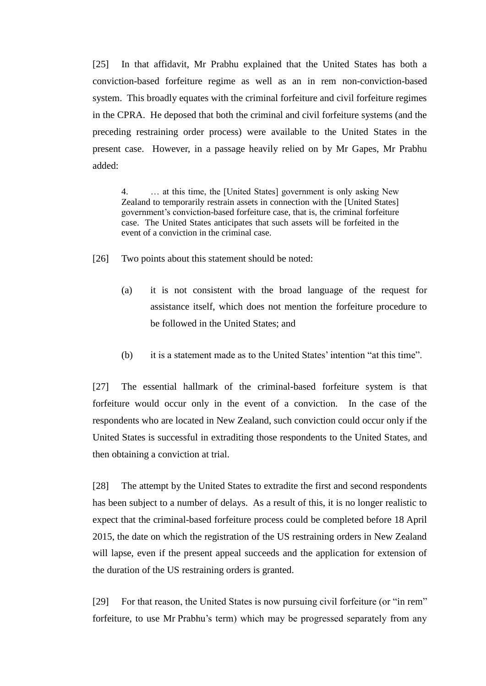[25] In that affidavit, Mr Prabhu explained that the United States has both a conviction-based forfeiture regime as well as an in rem non-conviction-based system. This broadly equates with the criminal forfeiture and civil forfeiture regimes in the CPRA. He deposed that both the criminal and civil forfeiture systems (and the preceding restraining order process) were available to the United States in the present case. However, in a passage heavily relied on by Mr Gapes, Mr Prabhu added:

4. … at this time, the [United States] government is only asking New Zealand to temporarily restrain assets in connection with the [United States] government's conviction-based forfeiture case, that is, the criminal forfeiture case. The United States anticipates that such assets will be forfeited in the event of a conviction in the criminal case.

- [26] Two points about this statement should be noted:
	- (a) it is not consistent with the broad language of the request for assistance itself, which does not mention the forfeiture procedure to be followed in the United States; and
	- (b) it is a statement made as to the United States' intention "at this time".

[27] The essential hallmark of the criminal-based forfeiture system is that forfeiture would occur only in the event of a conviction. In the case of the respondents who are located in New Zealand, such conviction could occur only if the United States is successful in extraditing those respondents to the United States, and then obtaining a conviction at trial.

[28] The attempt by the United States to extradite the first and second respondents has been subject to a number of delays. As a result of this, it is no longer realistic to expect that the criminal-based forfeiture process could be completed before 18 April 2015, the date on which the registration of the US restraining orders in New Zealand will lapse, even if the present appeal succeeds and the application for extension of the duration of the US restraining orders is granted.

[29] For that reason, the United States is now pursuing civil forfeiture (or "in rem" forfeiture, to use Mr Prabhu's term) which may be progressed separately from any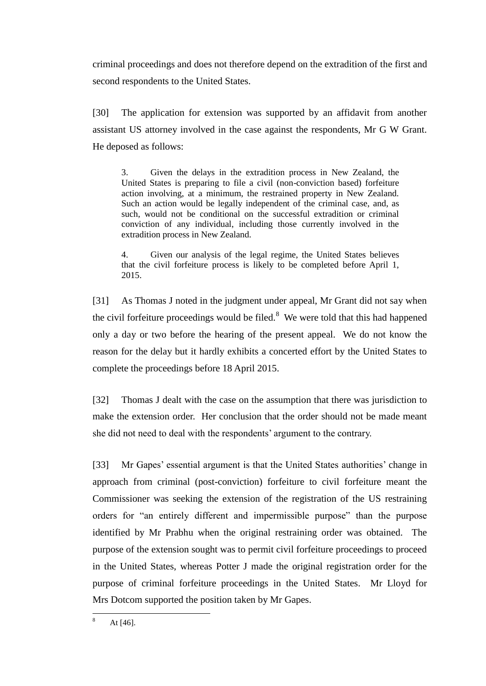criminal proceedings and does not therefore depend on the extradition of the first and second respondents to the United States.

[30] The application for extension was supported by an affidavit from another assistant US attorney involved in the case against the respondents, Mr G W Grant. He deposed as follows:

3. Given the delays in the extradition process in New Zealand, the United States is preparing to file a civil (non-conviction based) forfeiture action involving, at a minimum, the restrained property in New Zealand. Such an action would be legally independent of the criminal case, and, as such, would not be conditional on the successful extradition or criminal conviction of any individual, including those currently involved in the extradition process in New Zealand.

4. Given our analysis of the legal regime, the United States believes that the civil forfeiture process is likely to be completed before April 1, 2015.

[31] As Thomas J noted in the judgment under appeal, Mr Grant did not say when the civil forfeiture proceedings would be filed. $8$  We were told that this had happened only a day or two before the hearing of the present appeal. We do not know the reason for the delay but it hardly exhibits a concerted effort by the United States to complete the proceedings before 18 April 2015.

[32] Thomas J dealt with the case on the assumption that there was jurisdiction to make the extension order. Her conclusion that the order should not be made meant she did not need to deal with the respondents' argument to the contrary.

[33] Mr Gapes' essential argument is that the United States authorities' change in approach from criminal (post-conviction) forfeiture to civil forfeiture meant the Commissioner was seeking the extension of the registration of the US restraining orders for "an entirely different and impermissible purpose" than the purpose identified by Mr Prabhu when the original restraining order was obtained. The purpose of the extension sought was to permit civil forfeiture proceedings to proceed in the United States, whereas Potter J made the original registration order for the purpose of criminal forfeiture proceedings in the United States. Mr Lloyd for Mrs Dotcom supported the position taken by Mr Gapes.

<sup>8</sup> At  $[46]$ .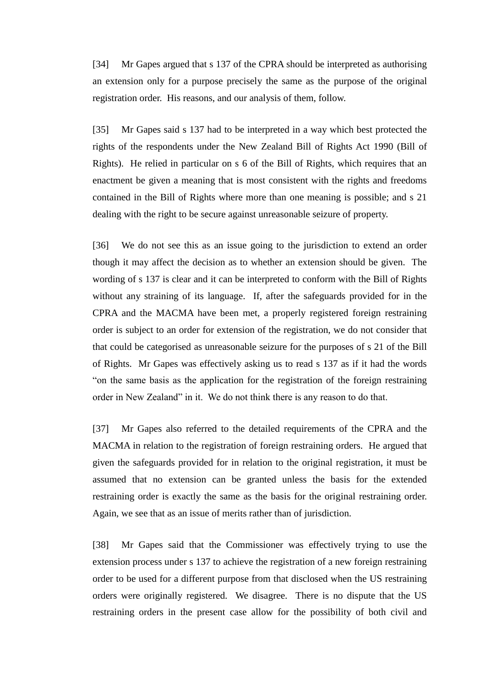[34] Mr Gapes argued that s 137 of the CPRA should be interpreted as authorising an extension only for a purpose precisely the same as the purpose of the original registration order. His reasons, and our analysis of them, follow.

[35] Mr Gapes said s 137 had to be interpreted in a way which best protected the rights of the respondents under the New Zealand Bill of Rights Act 1990 (Bill of Rights). He relied in particular on s 6 of the Bill of Rights, which requires that an enactment be given a meaning that is most consistent with the rights and freedoms contained in the Bill of Rights where more than one meaning is possible; and s 21 dealing with the right to be secure against unreasonable seizure of property.

[36] We do not see this as an issue going to the jurisdiction to extend an order though it may affect the decision as to whether an extension should be given. The wording of s 137 is clear and it can be interpreted to conform with the Bill of Rights without any straining of its language. If, after the safeguards provided for in the CPRA and the MACMA have been met, a properly registered foreign restraining order is subject to an order for extension of the registration, we do not consider that that could be categorised as unreasonable seizure for the purposes of s 21 of the Bill of Rights. Mr Gapes was effectively asking us to read s 137 as if it had the words "on the same basis as the application for the registration of the foreign restraining order in New Zealand" in it. We do not think there is any reason to do that.

[37] Mr Gapes also referred to the detailed requirements of the CPRA and the MACMA in relation to the registration of foreign restraining orders. He argued that given the safeguards provided for in relation to the original registration, it must be assumed that no extension can be granted unless the basis for the extended restraining order is exactly the same as the basis for the original restraining order. Again, we see that as an issue of merits rather than of jurisdiction.

[38] Mr Gapes said that the Commissioner was effectively trying to use the extension process under s 137 to achieve the registration of a new foreign restraining order to be used for a different purpose from that disclosed when the US restraining orders were originally registered. We disagree. There is no dispute that the US restraining orders in the present case allow for the possibility of both civil and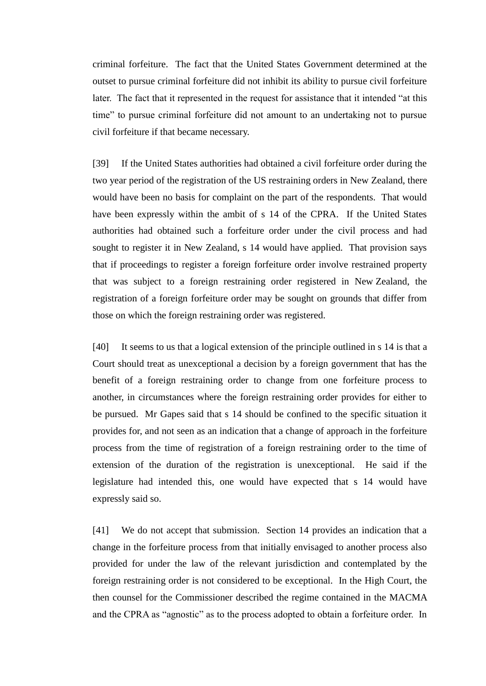criminal forfeiture. The fact that the United States Government determined at the outset to pursue criminal forfeiture did not inhibit its ability to pursue civil forfeiture later. The fact that it represented in the request for assistance that it intended "at this time" to pursue criminal forfeiture did not amount to an undertaking not to pursue civil forfeiture if that became necessary.

[39] If the United States authorities had obtained a civil forfeiture order during the two year period of the registration of the US restraining orders in New Zealand, there would have been no basis for complaint on the part of the respondents. That would have been expressly within the ambit of s 14 of the CPRA. If the United States authorities had obtained such a forfeiture order under the civil process and had sought to register it in New Zealand, s 14 would have applied. That provision says that if proceedings to register a foreign forfeiture order involve restrained property that was subject to a foreign restraining order registered in New Zealand, the registration of a foreign forfeiture order may be sought on grounds that differ from those on which the foreign restraining order was registered.

[40] It seems to us that a logical extension of the principle outlined in s 14 is that a Court should treat as unexceptional a decision by a foreign government that has the benefit of a foreign restraining order to change from one forfeiture process to another, in circumstances where the foreign restraining order provides for either to be pursued. Mr Gapes said that s 14 should be confined to the specific situation it provides for, and not seen as an indication that a change of approach in the forfeiture process from the time of registration of a foreign restraining order to the time of extension of the duration of the registration is unexceptional. He said if the legislature had intended this, one would have expected that s 14 would have expressly said so.

[41] We do not accept that submission. Section 14 provides an indication that a change in the forfeiture process from that initially envisaged to another process also provided for under the law of the relevant jurisdiction and contemplated by the foreign restraining order is not considered to be exceptional. In the High Court, the then counsel for the Commissioner described the regime contained in the MACMA and the CPRA as "agnostic" as to the process adopted to obtain a forfeiture order. In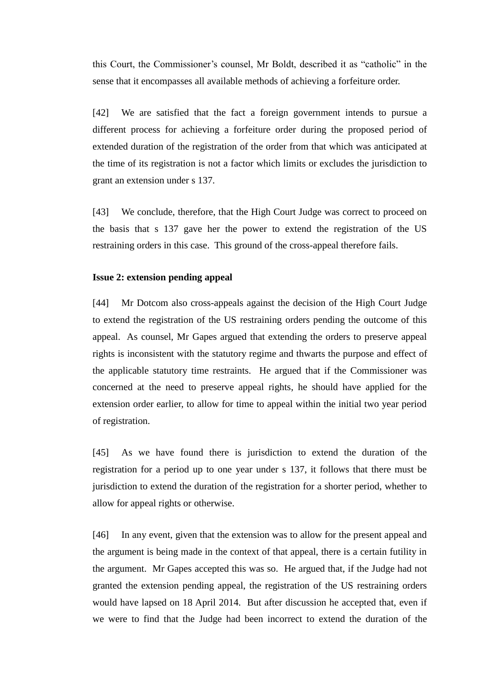this Court, the Commissioner's counsel, Mr Boldt, described it as "catholic" in the sense that it encompasses all available methods of achieving a forfeiture order.

[42] We are satisfied that the fact a foreign government intends to pursue a different process for achieving a forfeiture order during the proposed period of extended duration of the registration of the order from that which was anticipated at the time of its registration is not a factor which limits or excludes the jurisdiction to grant an extension under s 137.

[43] We conclude, therefore, that the High Court Judge was correct to proceed on the basis that s 137 gave her the power to extend the registration of the US restraining orders in this case. This ground of the cross-appeal therefore fails.

### **Issue 2: extension pending appeal**

[44] Mr Dotcom also cross-appeals against the decision of the High Court Judge to extend the registration of the US restraining orders pending the outcome of this appeal. As counsel, Mr Gapes argued that extending the orders to preserve appeal rights is inconsistent with the statutory regime and thwarts the purpose and effect of the applicable statutory time restraints. He argued that if the Commissioner was concerned at the need to preserve appeal rights, he should have applied for the extension order earlier, to allow for time to appeal within the initial two year period of registration.

[45] As we have found there is jurisdiction to extend the duration of the registration for a period up to one year under s 137, it follows that there must be jurisdiction to extend the duration of the registration for a shorter period, whether to allow for appeal rights or otherwise.

[46] In any event, given that the extension was to allow for the present appeal and the argument is being made in the context of that appeal, there is a certain futility in the argument. Mr Gapes accepted this was so. He argued that, if the Judge had not granted the extension pending appeal, the registration of the US restraining orders would have lapsed on 18 April 2014. But after discussion he accepted that, even if we were to find that the Judge had been incorrect to extend the duration of the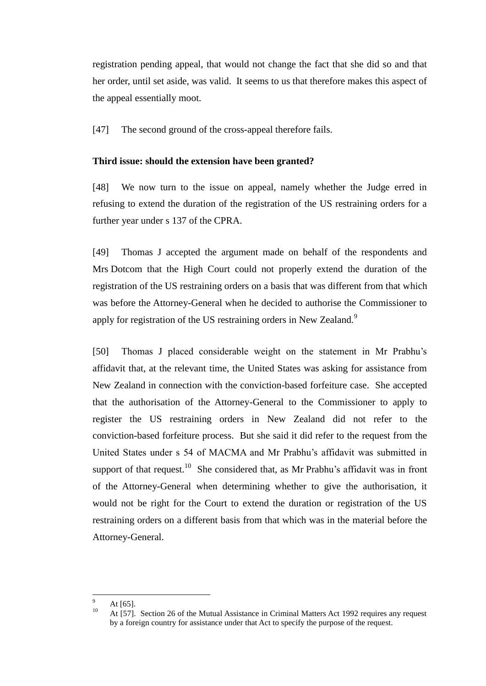registration pending appeal, that would not change the fact that she did so and that her order, until set aside, was valid. It seems to us that therefore makes this aspect of the appeal essentially moot.

[47] The second ground of the cross-appeal therefore fails.

### **Third issue: should the extension have been granted?**

[48] We now turn to the issue on appeal, namely whether the Judge erred in refusing to extend the duration of the registration of the US restraining orders for a further year under s 137 of the CPRA.

[49] Thomas J accepted the argument made on behalf of the respondents and Mrs Dotcom that the High Court could not properly extend the duration of the registration of the US restraining orders on a basis that was different from that which was before the Attorney-General when he decided to authorise the Commissioner to apply for registration of the US restraining orders in New Zealand.<sup>9</sup>

[50] Thomas J placed considerable weight on the statement in Mr Prabhu's affidavit that, at the relevant time, the United States was asking for assistance from New Zealand in connection with the conviction-based forfeiture case. She accepted that the authorisation of the Attorney-General to the Commissioner to apply to register the US restraining orders in New Zealand did not refer to the conviction-based forfeiture process. But she said it did refer to the request from the United States under s 54 of MACMA and Mr Prabhu's affidavit was submitted in support of that request.<sup>10</sup> She considered that, as Mr Prabhu's affidavit was in front of the Attorney-General when determining whether to give the authorisation, it would not be right for the Court to extend the duration or registration of the US restraining orders on a different basis from that which was in the material before the Attorney-General.

 $\overline{a}$ 

 $\frac{9}{10}$  At [65].

At [57]. Section 26 of the Mutual Assistance in Criminal Matters Act 1992 requires any request by a foreign country for assistance under that Act to specify the purpose of the request.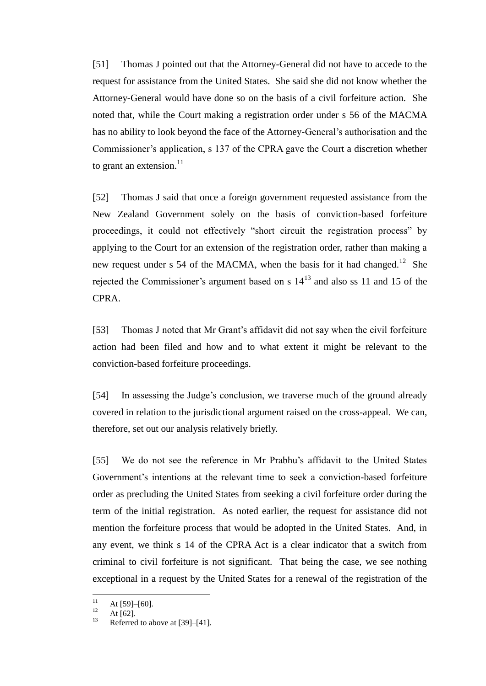[51] Thomas J pointed out that the Attorney-General did not have to accede to the request for assistance from the United States. She said she did not know whether the Attorney-General would have done so on the basis of a civil forfeiture action. She noted that, while the Court making a registration order under s 56 of the MACMA has no ability to look beyond the face of the Attorney-General's authorisation and the Commissioner's application, s 137 of the CPRA gave the Court a discretion whether to grant an extension. $^{11}$ 

[52] Thomas J said that once a foreign government requested assistance from the New Zealand Government solely on the basis of conviction-based forfeiture proceedings, it could not effectively "short circuit the registration process" by applying to the Court for an extension of the registration order, rather than making a new request under s 54 of the MACMA, when the basis for it had changed.<sup>12</sup> She rejected the Commissioner's argument based on s  $14<sup>13</sup>$  and also ss 11 and 15 of the CPRA.

[53] Thomas J noted that Mr Grant's affidavit did not say when the civil forfeiture action had been filed and how and to what extent it might be relevant to the conviction-based forfeiture proceedings.

[54] In assessing the Judge's conclusion, we traverse much of the ground already covered in relation to the jurisdictional argument raised on the cross-appeal. We can, therefore, set out our analysis relatively briefly.

[55] We do not see the reference in Mr Prabhu's affidavit to the United States Government's intentions at the relevant time to seek a conviction-based forfeiture order as precluding the United States from seeking a civil forfeiture order during the term of the initial registration. As noted earlier, the request for assistance did not mention the forfeiture process that would be adopted in the United States. And, in any event, we think s 14 of the CPRA Act is a clear indicator that a switch from criminal to civil forfeiture is not significant. That being the case, we see nothing exceptional in a request by the United States for a renewal of the registration of the

 $\overline{11}$  $11 \atop{12} \text{At [59]–[60].}$ 

 $12$  At [62].

Referred to above at [39]–[41].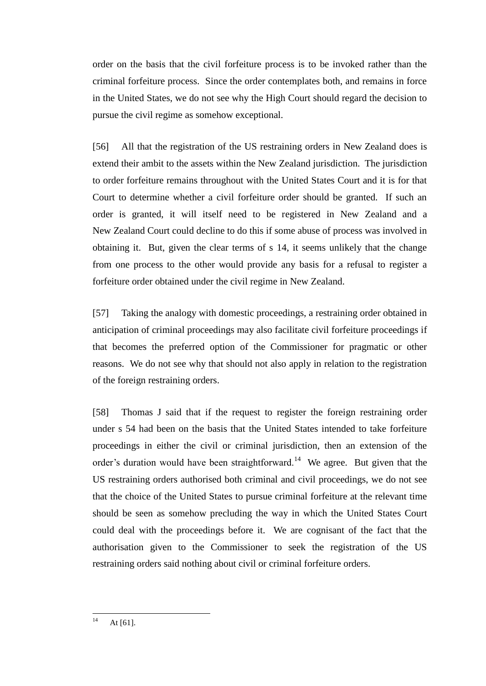order on the basis that the civil forfeiture process is to be invoked rather than the criminal forfeiture process. Since the order contemplates both, and remains in force in the United States, we do not see why the High Court should regard the decision to pursue the civil regime as somehow exceptional.

[56] All that the registration of the US restraining orders in New Zealand does is extend their ambit to the assets within the New Zealand jurisdiction. The jurisdiction to order forfeiture remains throughout with the United States Court and it is for that Court to determine whether a civil forfeiture order should be granted. If such an order is granted, it will itself need to be registered in New Zealand and a New Zealand Court could decline to do this if some abuse of process was involved in obtaining it. But, given the clear terms of s 14, it seems unlikely that the change from one process to the other would provide any basis for a refusal to register a forfeiture order obtained under the civil regime in New Zealand.

[57] Taking the analogy with domestic proceedings, a restraining order obtained in anticipation of criminal proceedings may also facilitate civil forfeiture proceedings if that becomes the preferred option of the Commissioner for pragmatic or other reasons. We do not see why that should not also apply in relation to the registration of the foreign restraining orders.

[58] Thomas J said that if the request to register the foreign restraining order under s 54 had been on the basis that the United States intended to take forfeiture proceedings in either the civil or criminal jurisdiction, then an extension of the order's duration would have been straightforward.<sup>14</sup> We agree. But given that the US restraining orders authorised both criminal and civil proceedings, we do not see that the choice of the United States to pursue criminal forfeiture at the relevant time should be seen as somehow precluding the way in which the United States Court could deal with the proceedings before it. We are cognisant of the fact that the authorisation given to the Commissioner to seek the registration of the US restraining orders said nothing about civil or criminal forfeiture orders.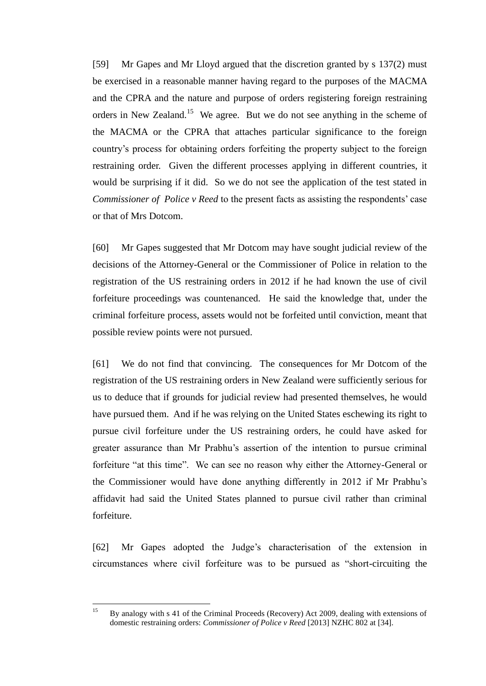[59] Mr Gapes and Mr Lloyd argued that the discretion granted by s 137(2) must be exercised in a reasonable manner having regard to the purposes of the MACMA and the CPRA and the nature and purpose of orders registering foreign restraining orders in New Zealand.<sup>15</sup> We agree. But we do not see anything in the scheme of the MACMA or the CPRA that attaches particular significance to the foreign country's process for obtaining orders forfeiting the property subject to the foreign restraining order. Given the different processes applying in different countries, it would be surprising if it did. So we do not see the application of the test stated in *Commissioner of Police v Reed* to the present facts as assisting the respondents' case or that of Mrs Dotcom.

[60] Mr Gapes suggested that Mr Dotcom may have sought judicial review of the decisions of the Attorney-General or the Commissioner of Police in relation to the registration of the US restraining orders in 2012 if he had known the use of civil forfeiture proceedings was countenanced. He said the knowledge that, under the criminal forfeiture process, assets would not be forfeited until conviction, meant that possible review points were not pursued.

[61] We do not find that convincing. The consequences for Mr Dotcom of the registration of the US restraining orders in New Zealand were sufficiently serious for us to deduce that if grounds for judicial review had presented themselves, he would have pursued them. And if he was relying on the United States eschewing its right to pursue civil forfeiture under the US restraining orders, he could have asked for greater assurance than Mr Prabhu's assertion of the intention to pursue criminal forfeiture "at this time". We can see no reason why either the Attorney-General or the Commissioner would have done anything differently in 2012 if Mr Prabhu's affidavit had said the United States planned to pursue civil rather than criminal forfeiture.

[62] Mr Gapes adopted the Judge's characterisation of the extension in circumstances where civil forfeiture was to be pursued as "short-circuiting the

 $15$ <sup>15</sup> By analogy with s 41 of the Criminal Proceeds (Recovery) Act 2009, dealing with extensions of domestic restraining orders: *Commissioner of Police v Reed* [2013] NZHC 802 at [34].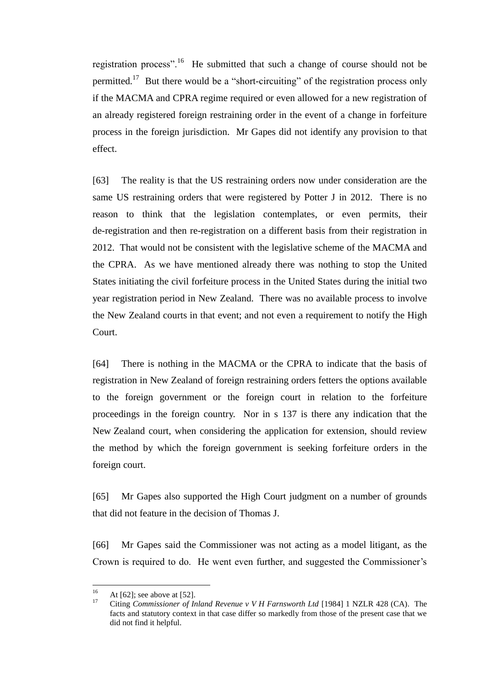registration process".<sup>16</sup> He submitted that such a change of course should not be permitted.<sup>17</sup> But there would be a "short-circuiting" of the registration process only if the MACMA and CPRA regime required or even allowed for a new registration of an already registered foreign restraining order in the event of a change in forfeiture process in the foreign jurisdiction. Mr Gapes did not identify any provision to that effect.

[63] The reality is that the US restraining orders now under consideration are the same US restraining orders that were registered by Potter J in 2012. There is no reason to think that the legislation contemplates, or even permits, their de-registration and then re-registration on a different basis from their registration in 2012. That would not be consistent with the legislative scheme of the MACMA and the CPRA. As we have mentioned already there was nothing to stop the United States initiating the civil forfeiture process in the United States during the initial two year registration period in New Zealand. There was no available process to involve the New Zealand courts in that event; and not even a requirement to notify the High Court.

[64] There is nothing in the MACMA or the CPRA to indicate that the basis of registration in New Zealand of foreign restraining orders fetters the options available to the foreign government or the foreign court in relation to the forfeiture proceedings in the foreign country. Nor in s 137 is there any indication that the New Zealand court, when considering the application for extension, should review the method by which the foreign government is seeking forfeiture orders in the foreign court.

[65] Mr Gapes also supported the High Court judgment on a number of grounds that did not feature in the decision of Thomas J.

[66] Mr Gapes said the Commissioner was not acting as a model litigant, as the Crown is required to do. He went even further, and suggested the Commissioner's

 $16$ <sup>16</sup> At [62]; see above at [52].

<sup>17</sup> Citing *Commissioner of Inland Revenue v V H Farnsworth Ltd* [1984] 1 NZLR 428 (CA). The facts and statutory context in that case differ so markedly from those of the present case that we did not find it helpful.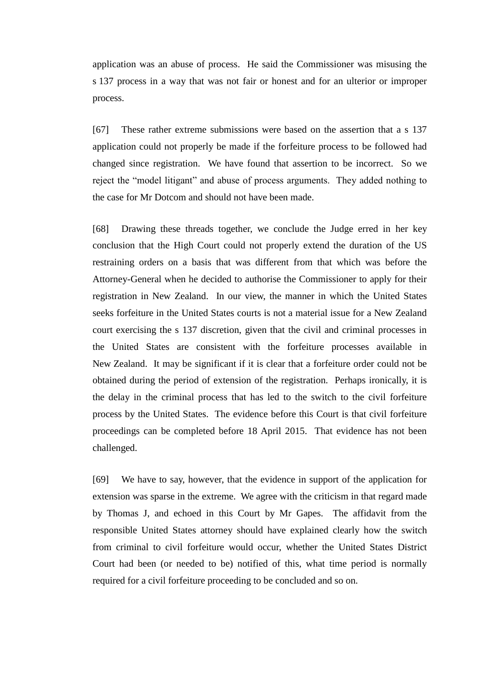application was an abuse of process. He said the Commissioner was misusing the s 137 process in a way that was not fair or honest and for an ulterior or improper process.

[67] These rather extreme submissions were based on the assertion that a s 137 application could not properly be made if the forfeiture process to be followed had changed since registration. We have found that assertion to be incorrect. So we reject the "model litigant" and abuse of process arguments. They added nothing to the case for Mr Dotcom and should not have been made.

[68] Drawing these threads together, we conclude the Judge erred in her key conclusion that the High Court could not properly extend the duration of the US restraining orders on a basis that was different from that which was before the Attorney-General when he decided to authorise the Commissioner to apply for their registration in New Zealand. In our view, the manner in which the United States seeks forfeiture in the United States courts is not a material issue for a New Zealand court exercising the s 137 discretion, given that the civil and criminal processes in the United States are consistent with the forfeiture processes available in New Zealand. It may be significant if it is clear that a forfeiture order could not be obtained during the period of extension of the registration. Perhaps ironically, it is the delay in the criminal process that has led to the switch to the civil forfeiture process by the United States. The evidence before this Court is that civil forfeiture proceedings can be completed before 18 April 2015. That evidence has not been challenged.

[69] We have to say, however, that the evidence in support of the application for extension was sparse in the extreme. We agree with the criticism in that regard made by Thomas J, and echoed in this Court by Mr Gapes. The affidavit from the responsible United States attorney should have explained clearly how the switch from criminal to civil forfeiture would occur, whether the United States District Court had been (or needed to be) notified of this, what time period is normally required for a civil forfeiture proceeding to be concluded and so on.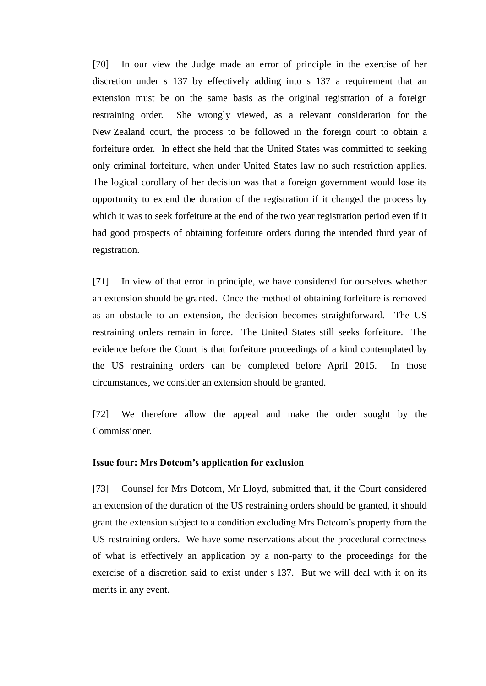[70] In our view the Judge made an error of principle in the exercise of her discretion under s 137 by effectively adding into s 137 a requirement that an extension must be on the same basis as the original registration of a foreign restraining order. She wrongly viewed, as a relevant consideration for the New Zealand court, the process to be followed in the foreign court to obtain a forfeiture order. In effect she held that the United States was committed to seeking only criminal forfeiture, when under United States law no such restriction applies. The logical corollary of her decision was that a foreign government would lose its opportunity to extend the duration of the registration if it changed the process by which it was to seek forfeiture at the end of the two year registration period even if it had good prospects of obtaining forfeiture orders during the intended third year of registration.

[71] In view of that error in principle, we have considered for ourselves whether an extension should be granted. Once the method of obtaining forfeiture is removed as an obstacle to an extension, the decision becomes straightforward. The US restraining orders remain in force. The United States still seeks forfeiture. The evidence before the Court is that forfeiture proceedings of a kind contemplated by the US restraining orders can be completed before April 2015. In those circumstances, we consider an extension should be granted.

[72] We therefore allow the appeal and make the order sought by the Commissioner.

#### **Issue four: Mrs Dotcom's application for exclusion**

[73] Counsel for Mrs Dotcom, Mr Lloyd, submitted that, if the Court considered an extension of the duration of the US restraining orders should be granted, it should grant the extension subject to a condition excluding Mrs Dotcom's property from the US restraining orders. We have some reservations about the procedural correctness of what is effectively an application by a non-party to the proceedings for the exercise of a discretion said to exist under s 137. But we will deal with it on its merits in any event.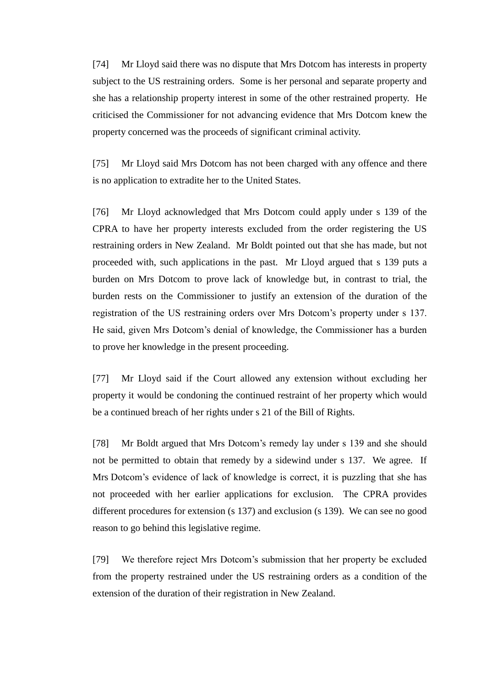[74] Mr Lloyd said there was no dispute that Mrs Dotcom has interests in property subject to the US restraining orders. Some is her personal and separate property and she has a relationship property interest in some of the other restrained property. He criticised the Commissioner for not advancing evidence that Mrs Dotcom knew the property concerned was the proceeds of significant criminal activity.

[75] Mr Lloyd said Mrs Dotcom has not been charged with any offence and there is no application to extradite her to the United States.

[76] Mr Lloyd acknowledged that Mrs Dotcom could apply under s 139 of the CPRA to have her property interests excluded from the order registering the US restraining orders in New Zealand. Mr Boldt pointed out that she has made, but not proceeded with, such applications in the past. Mr Lloyd argued that s 139 puts a burden on Mrs Dotcom to prove lack of knowledge but, in contrast to trial, the burden rests on the Commissioner to justify an extension of the duration of the registration of the US restraining orders over Mrs Dotcom's property under s 137. He said, given Mrs Dotcom's denial of knowledge, the Commissioner has a burden to prove her knowledge in the present proceeding.

[77] Mr Lloyd said if the Court allowed any extension without excluding her property it would be condoning the continued restraint of her property which would be a continued breach of her rights under s 21 of the Bill of Rights.

[78] Mr Boldt argued that Mrs Dotcom's remedy lay under s 139 and she should not be permitted to obtain that remedy by a sidewind under s 137. We agree. If Mrs Dotcom's evidence of lack of knowledge is correct, it is puzzling that she has not proceeded with her earlier applications for exclusion. The CPRA provides different procedures for extension (s 137) and exclusion (s 139). We can see no good reason to go behind this legislative regime.

[79] We therefore reject Mrs Dotcom's submission that her property be excluded from the property restrained under the US restraining orders as a condition of the extension of the duration of their registration in New Zealand.